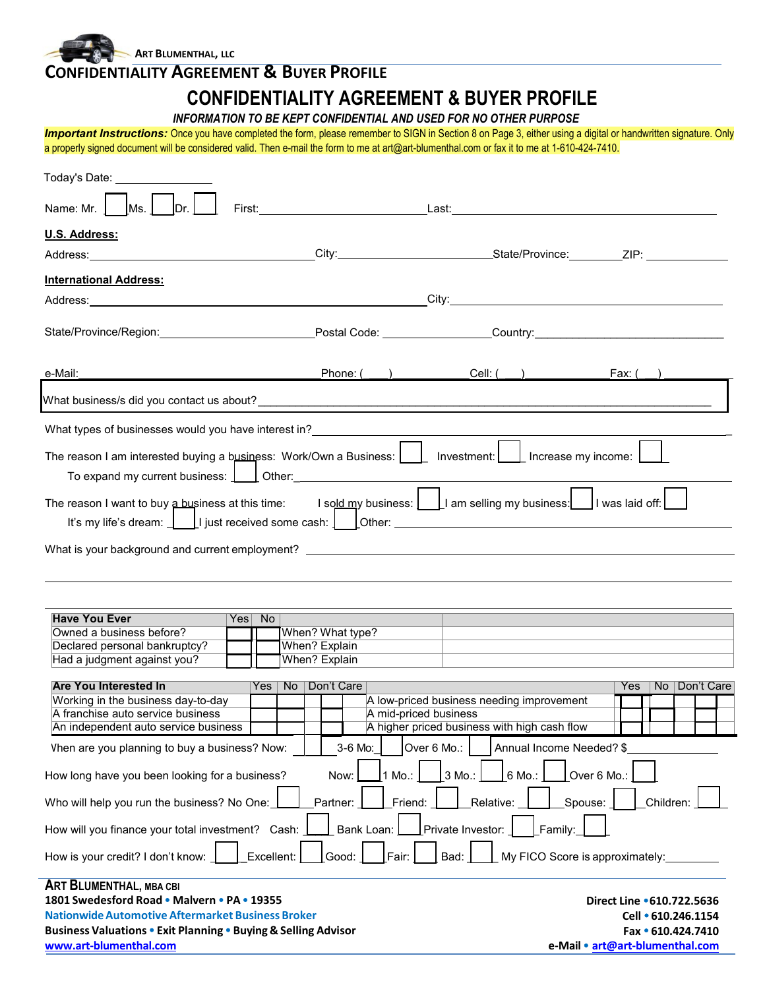**ART BLUMENTHAL, LLC**

**CONFERENT O DUCES BOOTLE** 

| CONFIDENTIALITY AGREEMENT & BUYER PROFILE                                                                                                                                                                                                                                                                                                                                                               |                                                                   |                                                                                           |                                                                                                           |
|---------------------------------------------------------------------------------------------------------------------------------------------------------------------------------------------------------------------------------------------------------------------------------------------------------------------------------------------------------------------------------------------------------|-------------------------------------------------------------------|-------------------------------------------------------------------------------------------|-----------------------------------------------------------------------------------------------------------|
|                                                                                                                                                                                                                                                                                                                                                                                                         | INFORMATION TO BE KEPT CONFIDENTIAL AND USED FOR NO OTHER PURPOSE | <b>CONFIDENTIALITY AGREEMENT &amp; BUYER PROFILE</b>                                      |                                                                                                           |
| Important Instructions: Once you have completed the form, please remember to SIGN in Section 8 on Page 3, either using a digital or handwritten signature. Only<br>a properly signed document will be considered valid. Then e-mail the form to me at art@art-blumenthal.com or fax it to me at 1-610-424-7410.                                                                                         |                                                                   |                                                                                           |                                                                                                           |
| Today's Date: <u>___________________</u>                                                                                                                                                                                                                                                                                                                                                                |                                                                   |                                                                                           |                                                                                                           |
| Ms.<br> Dr <br>Name: Mr. J                                                                                                                                                                                                                                                                                                                                                                              |                                                                   |                                                                                           |                                                                                                           |
| U.S. Address:                                                                                                                                                                                                                                                                                                                                                                                           |                                                                   |                                                                                           |                                                                                                           |
|                                                                                                                                                                                                                                                                                                                                                                                                         |                                                                   |                                                                                           |                                                                                                           |
| <b>International Address:</b>                                                                                                                                                                                                                                                                                                                                                                           |                                                                   |                                                                                           |                                                                                                           |
|                                                                                                                                                                                                                                                                                                                                                                                                         |                                                                   |                                                                                           |                                                                                                           |
| State/Province/Region: Postal Code: Country: Country: Country:                                                                                                                                                                                                                                                                                                                                          |                                                                   |                                                                                           |                                                                                                           |
| e-Mail:                                                                                                                                                                                                                                                                                                                                                                                                 |                                                                   | Phone: ( <u>U)</u> Cell: (U) Cell: (U)                                                    | _Fax: ( __                                                                                                |
|                                                                                                                                                                                                                                                                                                                                                                                                         |                                                                   |                                                                                           |                                                                                                           |
|                                                                                                                                                                                                                                                                                                                                                                                                         |                                                                   |                                                                                           |                                                                                                           |
| To expand my current business: $\Box$ Other:<br>The reason I want to buy a business at this time: I sold my business: $\lfloor \frac{1}{2} \rfloor$ am selling my business: $\lfloor \frac{1}{2} \rfloor$ I was laid off: $\lfloor \frac{1}{2} \rfloor$<br>It's my life's dream: $\begin{bmatrix} \phantom{i} \end{bmatrix}$ is treceived some cash: $\begin{bmatrix} \phantom{i} \end{bmatrix}$ Other: |                                                                   |                                                                                           |                                                                                                           |
| <b>Have You Ever</b><br>Yes No                                                                                                                                                                                                                                                                                                                                                                          |                                                                   |                                                                                           |                                                                                                           |
| Owned a business before?<br>Declared personal bankruptcy?                                                                                                                                                                                                                                                                                                                                               | When? What type?<br>When? Explain                                 |                                                                                           |                                                                                                           |
| Had a judgment against you?                                                                                                                                                                                                                                                                                                                                                                             | When? Explain                                                     |                                                                                           |                                                                                                           |
| <b>Are You Interested In</b><br>Yes<br>Working in the business day-to-day<br>A franchise auto service business<br>An independent auto service business                                                                                                                                                                                                                                                  | Don't Care<br><b>No</b><br>A mid-priced business                  | A low-priced business needing improvement<br>A higher priced business with high cash flow | <b>No</b><br>Don't Care<br>Yes                                                                            |
| Vhen are you planning to buy a business? Now:                                                                                                                                                                                                                                                                                                                                                           | 3-6 Mo:<br>Over 6 Mo.:                                            | Annual Income Needed? \$                                                                  |                                                                                                           |
| How long have you been looking for a business?                                                                                                                                                                                                                                                                                                                                                          | Now:<br>1 Mo.:                                                    | 6 Mo.:<br>3 Mo.:                                                                          | Over 6 Mo.:                                                                                               |
| Who will help you run the business? No One:                                                                                                                                                                                                                                                                                                                                                             | Partner:<br>Friend:                                               | Spouse:<br>Relative:                                                                      | Children:                                                                                                 |
| How will you finance your total investment? Cash:                                                                                                                                                                                                                                                                                                                                                       | Bank Loan:                                                        | Private Investor:<br>Family:                                                              |                                                                                                           |
| Excellent:<br>How is your credit? I don't know:                                                                                                                                                                                                                                                                                                                                                         | Fair:<br>Good:                                                    | Bad:<br>My FICO Score is approximately:                                                   |                                                                                                           |
| ART BLUMENTHAL, MBA CBI<br>1801 Swedesford Road . Malvern . PA . 19355<br><b>Nationwide Automotive Aftermarket Business Broker</b><br>Business Valuations . Exit Planning . Buying & Selling Advisor<br>www.art-blumenthal.com                                                                                                                                                                          |                                                                   |                                                                                           | Direct Line .610.722.5636<br>Cell · 610.246.1154<br>Fax • 610.424.7410<br>e-Mail • art@art-blumenthal.com |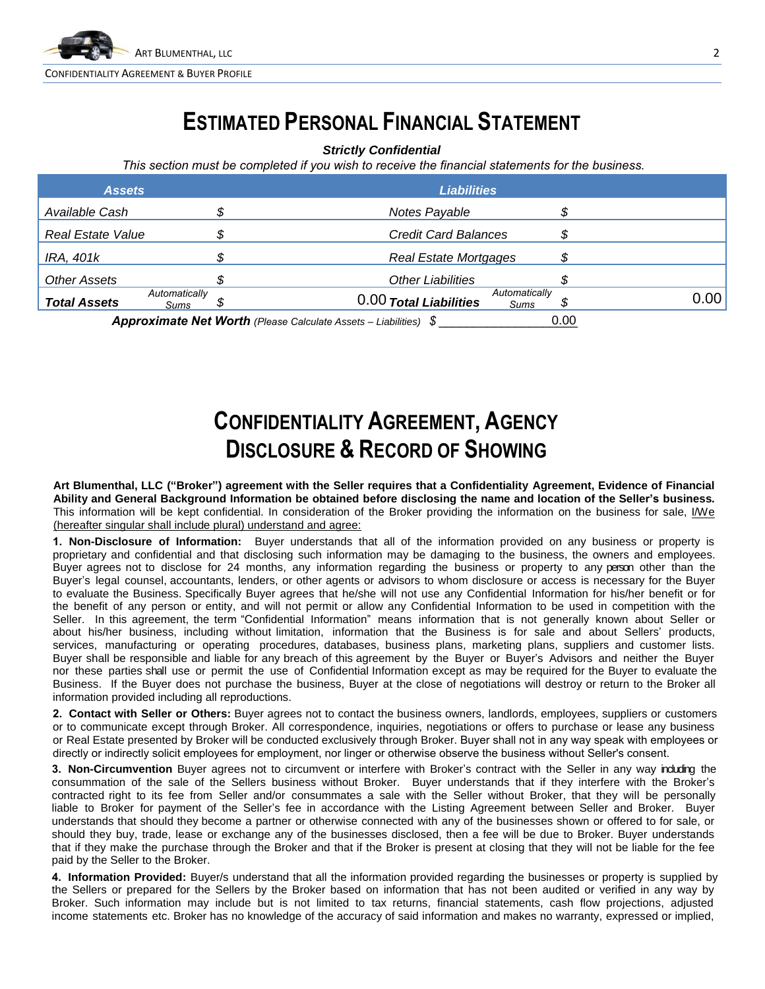

## **ESTIMATED PERSONAL FINANCIAL STATEMENT**

*Strictly Confidential*

*This section must be completed if you wish to receive the financial statements for the business.* 

| <b>Assets</b>            |                       | <b>Liabilities</b>                                                      |                       |      |
|--------------------------|-----------------------|-------------------------------------------------------------------------|-----------------------|------|
| Available Cash           |                       | Notes Payable                                                           |                       |      |
| <b>Real Estate Value</b> |                       | <b>Credit Card Balances</b>                                             |                       |      |
| IRA, 401k                |                       | <b>Real Estate Mortgages</b>                                            |                       |      |
| <b>Other Assets</b>      |                       | <b>Other Liabilities</b>                                                |                       |      |
| <b>Total Assets</b>      | Automatically<br>Sums | 0.00 Total Liabilities                                                  | Automatically<br>Sums | 0.00 |
|                          |                       | <b>Approximate Net Worth (Please Calculate Assets - Liabilities) \$</b> | 0.00                  |      |

# **CONFIDENTIALITY AGREEMENT, AGENCY DISCLOSURE & RECORD OF SHOWING**

**Art Blumenthal, LLC ("Broker") agreement with the Seller requires that a Confidentiality Agreement, Evidence of Financial Ability and General Background Information be obtained before disclosing the name and location of the Seller's business.**  This information will be kept confidential. In consideration of the Broker providing the information on the business for sale, I/We (hereafter singular shall include plural) understand and agree:

**1. Non-Disclosure of Information:** Buyer understands that all of the information provided on any business or property is proprietary and confidential and that disclosing such information may be damaging to the business, the owners and employees. Buyer agrees not to disclose for 24 months, any information regarding the business or property to any person other than the Buyer's legal counsel, accountants, lenders, or other agents or advisors to whom disclosure or access is necessary for the Buyer to evaluate the Business. Specifically Buyer agrees that he/she will not use any Confidential Information for his/her benefit or for the benefit of any person or entity, and will not permit or allow any Confidential Information to be used in competition with the Seller. In this agreement, the term "Confidential Information" means information that is not generally known about Seller or about his/her business, including without limitation, information that the Business is for sale and about Sellers' products, services, manufacturing or operating procedures, databases, business plans, marketing plans, suppliers and customer lists. Buyer shall be responsible and liable for any breach of this agreement by the Buyer or Buyer's Advisors and neither the Buyer nor these parties shall use or permit the use of Confidential Information except as may be required for the Buyer to evaluate the Business. If the Buyer does not purchase the business, Buyer at the close of negotiations will destroy or return to the Broker all information provided including all reproductions.

**2. Contact with Seller or Others:** Buyer agrees not to contact the business owners, landlords, employees, suppliers or customers or to communicate except through Broker. All correspondence, inquiries, negotiations or offers to purchase or lease any business or Real Estate presented by Broker will be conducted exclusively through Broker. Buyer shall not in any way speak with employees or directly or indirectly solicit employees for employment, nor linger or otherwise observe the business without Seller's consent.

**3. Non-Circumvention** Buyer agrees not to circumvent or interfere with Broker's contract with the Seller in any way including the consummation of the sale of the Sellers business without Broker. Buyer understands that if they interfere with the Broker's contracted right to its fee from Seller and/or consummates a sale with the Seller without Broker, that they will be personally liable to Broker for payment of the Seller's fee in accordance with the Listing Agreement between Seller and Broker. Buyer understands that should they become a partner or otherwise connected with any of the businesses shown or offered to for sale, or should they buy, trade, lease or exchange any of the businesses disclosed, then a fee will be due to Broker. Buyer understands that if they make the purchase through the Broker and that if the Broker is present at closing that they will not be liable for the fee paid by the Seller to the Broker.

**4. Information Provided:** Buyer/s understand that all the information provided regarding the businesses or property is supplied by the Sellers or prepared for the Sellers by the Broker based on information that has not been audited or verified in any way by Broker. Such information may include but is not limited to tax returns, financial statements, cash flow projections, adjusted income statements etc. Broker has no knowledge of the accuracy of said information and makes no warranty, expressed or implied,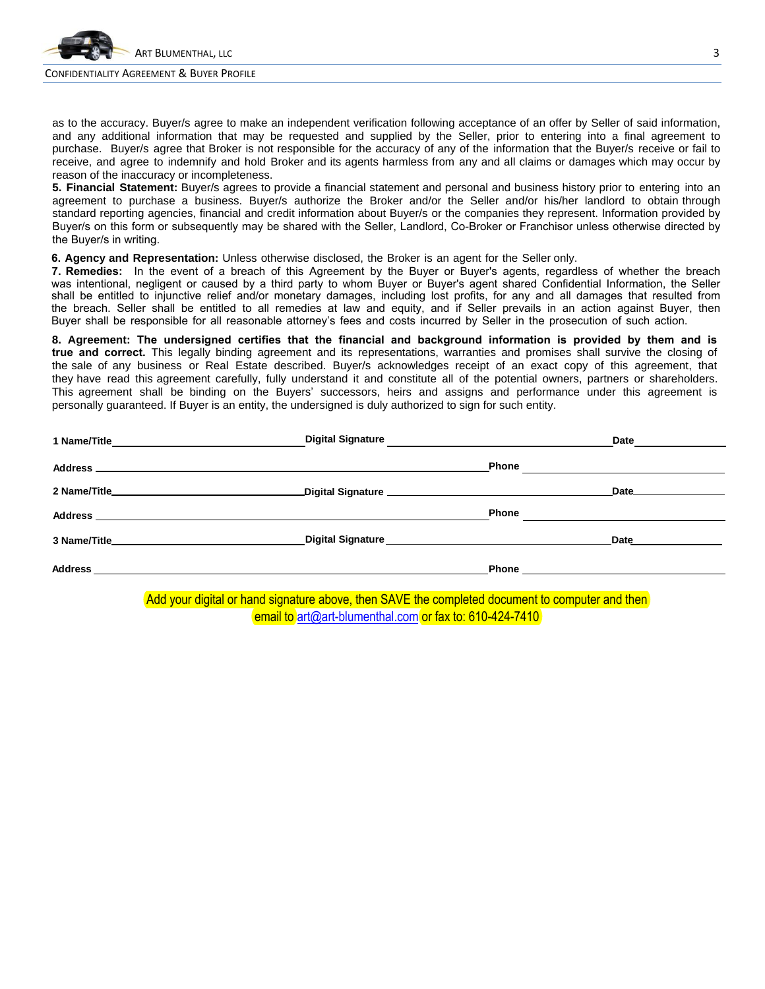

#### CONFIDENTIALITY AGREEMENT & BUYER PROFILE

as to the accuracy. Buyer/s agree to make an independent verification following acceptance of an offer by Seller of said information, and any additional information that may be requested and supplied by the Seller, prior to entering into a final agreement to purchase. Buyer/s agree that Broker is not responsible for the accuracy of any of the information that the Buyer/s receive or fail to receive, and agree to indemnify and hold Broker and its agents harmless from any and all claims or damages which may occur by reason of the inaccuracy or incompleteness.

**5. Financial Statement:** Buyer/s agrees to provide a financial statement and personal and business history prior to entering into an agreement to purchase a business. Buyer/s authorize the Broker and/or the Seller and/or his/her landlord to obtain through standard reporting agencies, financial and credit information about Buyer/s or the companies they represent. Information provided by Buyer/s on this form or subsequently may be shared with the Seller, Landlord, Co-Broker or Franchisor unless otherwise directed by the Buyer/s in writing.

**6. Agency and Representation:** Unless otherwise disclosed, the Broker is an agent for the Seller only.

**7. Remedies:** In the event of a breach of this Agreement by the Buyer or Buyer's agents, regardless of whether the breach was intentional, negligent or caused by a third party to whom Buyer or Buyer's agent shared Confidential Information, the Seller shall be entitled to injunctive relief and/or monetary damages, including lost profits, for any and all damages that resulted from the breach. Seller shall be entitled to all remedies at law and equity, and if Seller prevails in an action against Buyer, then Buyer shall be responsible for all reasonable attorney's fees and costs incurred by Seller in the prosecution of such action.

**8. Agreement: The undersigned certifies that the financial and background information is provided by them and is true and correct.** This legally binding agreement and its representations, warranties and promises shall survive the closing of the sale of any business or Real Estate described. Buyer/s acknowledges receipt of an exact copy of this agreement, that they have read this agreement carefully, fully understand it and constitute all of the potential owners, partners or shareholders. This agreement shall be binding on the Buyers' successors, heirs and assigns and performance under this agreement is personally guaranteed. If Buyer is an entity, the undersigned is duly authorized to sign for such entity.

|                                                                                                                       |                                                                                                                                                                                                                                       |              | Date             |
|-----------------------------------------------------------------------------------------------------------------------|---------------------------------------------------------------------------------------------------------------------------------------------------------------------------------------------------------------------------------------|--------------|------------------|
|                                                                                                                       |                                                                                                                                                                                                                                       | <b>Phone</b> |                  |
|                                                                                                                       |                                                                                                                                                                                                                                       |              | Date <b>Date</b> |
|                                                                                                                       |                                                                                                                                                                                                                                       | <b>Phone</b> |                  |
|                                                                                                                       | Digital Signature<br><u> Letter and the contract of the contract of the contract of the contract of the contract of the contract of the contract of the contract of the contract of the contract of the contract of the contract </u> |              | <b>Date Date</b> |
| Address                                                                                                               |                                                                                                                                                                                                                                       |              |                  |
| <u> 1989 - Johann Stoff, deutscher Stoff, der Stoff, der Stoff, der Stoff, der Stoff, der Stoff, der Stoff, der S</u> |                                                                                                                                                                                                                                       |              |                  |

Add your digital or hand signature above, then SAVE the completed document to computer and then email to art@art-blumenthal.com or fax to: 610-424-7410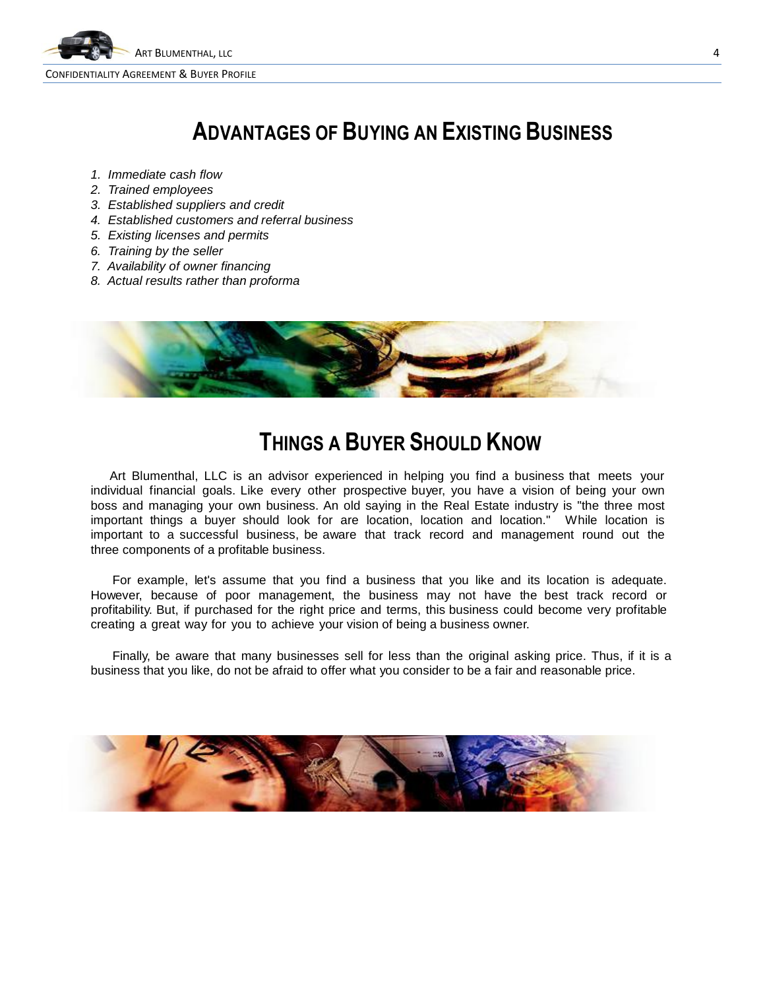

## **ADVANTAGES OF BUYING AN EXISTING BUSINESS**

- *1. Immediate cash flow*
- *2. Trained employees*
- *3. Established suppliers and credit*
- *4. Established customers and referral business*
- *5. Existing licenses and permits*
- *6. Training by the seller*
- *7. Availability of owner financing*
- *8. Actual results rather than proforma*



### **THINGS A BUYER SHOULD KNOW**

Art Blumenthal, LLC is an advisor experienced in helping you find a business that meets your individual financial goals. Like every other prospective buyer, you have a vision of being your own boss and managing your own business. An old saying in the Real Estate industry is "the three most important things a buyer should look for are location, location and location." While location is important to a successful business, be aware that track record and management round out the three components of a profitable business.

For example, let's assume that you find a business that you like and its location is adequate. However, because of poor management, the business may not have the best track record or profitability. But, if purchased for the right price and terms, this business could become very profitable creating a great way for you to achieve your vision of being a business owner.

Finally, be aware that many businesses sell for less than the original asking price. Thus, if it is a business that you like, do not be afraid to offer what you consider to be a fair and reasonable price.